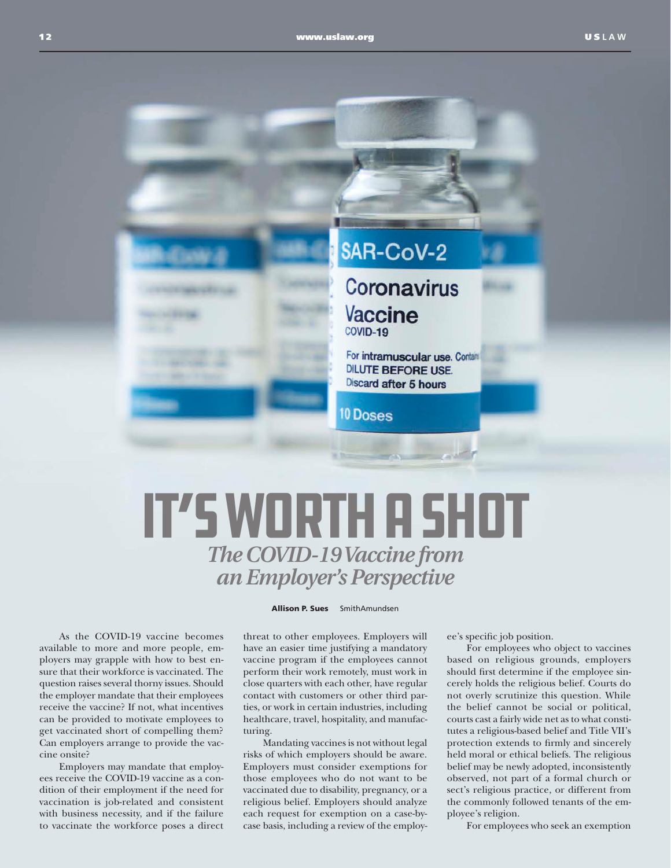

## *The COVID-19 Vaccine from an Employer's Perspective* It's Worth a Shot

As the COVID-19 vaccine becomes available to more and more people, employers may grapple with how to best ensure that their workforce is vaccinated. The question raises several thorny issues. Should the employer mandate that their employees receive the vaccine? If not, what incentives can be provided to motivate employees to get vaccinated short of compelling them? Can employers arrange to provide the vaccine onsite?

Employers may mandate that employees receive the COVID-19 vaccine as a condition of their employment if the need for vaccination is job-related and consistent with business necessity, and if the failure to vaccinate the workforce poses a direct

## Allison P. Sues SmithAmundsen

threat to other employees. Employers will have an easier time justifying a mandatory vaccine program if the employees cannot perform their work remotely, must work in close quarters with each other, have regular contact with customers or other third parties, or work in certain industries, including healthcare, travel, hospitality, and manufacturing.

Mandating vaccines is not without legal risks of which employers should be aware. Employers must consider exemptions for those employees who do not want to be vaccinated due to disability, pregnancy, or a religious belief. Employers should analyze each request for exemption on a case-bycase basis, including a review of the employee's specific job position.

For employees who object to vaccines based on religious grounds, employers should first determine if the employee sincerely holds the religious belief. Courts do not overly scrutinize this question. While the belief cannot be social or political, courts cast a fairly wide net as to what constitutes a religious-based belief and Title VII's protection extends to firmly and sincerely held moral or ethical beliefs. The religious belief may be newly adopted, inconsistently observed, not part of a formal church or sect's religious practice, or different from the commonly followed tenants of the employee's religion.

For employees who seek an exemption